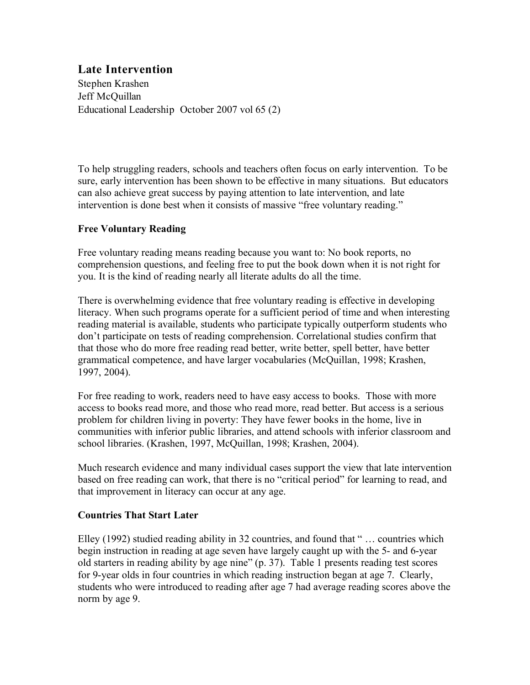# **Late Intervention**

Stephen Krashen Jeff McQuillan Educational Leadership October 2007 vol 65 (2)

To help struggling readers, schools and teachers often focus on early intervention. To be sure, early intervention has been shown to be effective in many situations. But educators can also achieve great success by paying attention to late intervention, and late intervention is done best when it consists of massive "free voluntary reading."

## **Free Voluntary Reading**

Free voluntary reading means reading because you want to: No book reports, no comprehension questions, and feeling free to put the book down when it is not right for you. It is the kind of reading nearly all literate adults do all the time.

There is overwhelming evidence that free voluntary reading is effective in developing literacy. When such programs operate for a sufficient period of time and when interesting reading material is available, students who participate typically outperform students who don't participate on tests of reading comprehension. Correlational studies confirm that that those who do more free reading read better, write better, spell better, have better grammatical competence, and have larger vocabularies (McQuillan, 1998; Krashen, 1997, 2004).

For free reading to work, readers need to have easy access to books. Those with more access to books read more, and those who read more, read better. But access is a serious problem for children living in poverty: They have fewer books in the home, live in communities with inferior public libraries, and attend schools with inferior classroom and school libraries. (Krashen, 1997, McQuillan, 1998; Krashen, 2004).

Much research evidence and many individual cases support the view that late intervention based on free reading can work, that there is no "critical period" for learning to read, and that improvement in literacy can occur at any age.

#### **Countries That Start Later**

Elley (1992) studied reading ability in 32 countries, and found that " … countries which begin instruction in reading at age seven have largely caught up with the 5- and 6-year old starters in reading ability by age nine" (p. 37). Table 1 presents reading test scores for 9-year olds in four countries in which reading instruction began at age 7. Clearly, students who were introduced to reading after age 7 had average reading scores above the norm by age 9.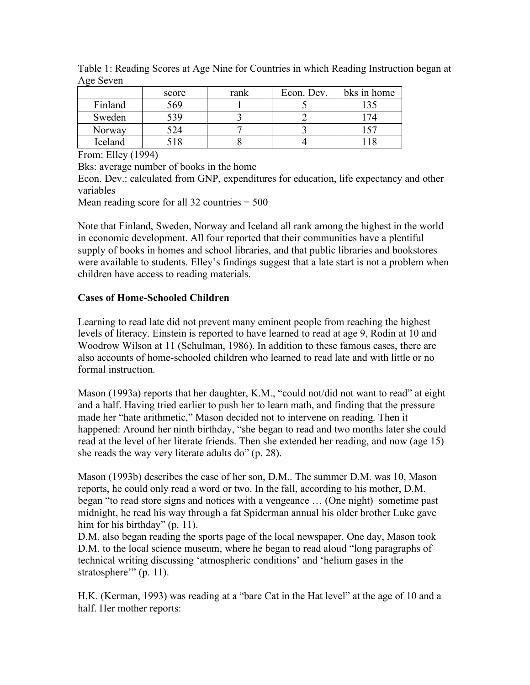| ັ       | score | rank | Econ. Dev. | bks in home |
|---------|-------|------|------------|-------------|
| Finland | 569   |      |            |             |
| Sweden  | 539   |      |            |             |
| Norway  | 524   |      |            |             |
| Iceland |       |      |            |             |

Table 1: Reading Scores at Age Nine for Countries in which Reading Instruction began at Age Seven

From: Elley (1994)

Bks: average number of books in the home

Econ. Dev.: calculated from GNP, expenditures for education, life expectancy and other variables

Mean reading score for all 32 countries  $= 500$ 

Note that Finland, Sweden, Norway and Iceland all rank among the highest in the world in economic development. All four reported that their communities have a plentiful supply of books in homes and school libraries, and that public libraries and bookstores were available to students. Elley's findings suggest that a late start is not a problem when children have access to reading materials.

#### **Cases of Home-Schooled Children**

Learning to read late did not prevent many eminent people from reaching the highest levels of literacy. Einstein is reported to have learned to read at age 9, Rodin at 10 and Woodrow Wilson at 11 (Schulman, 1986). In addition to these famous cases, there are also accounts of home-schooled children who learned to read late and with little or no formal instruction.

Mason (1993a) reports that her daughter, K.M., "could not/did not want to read" at eight and a half. Having tried earlier to push her to learn math, and finding that the pressure made her "hate arithmetic," Mason decided not to intervene on reading. Then it happened: Around her ninth birthday, "she began to read and two months later she could read at the level of her literate friends. Then she extended her reading, and now (age 15) she reads the way very literate adults do" (p. 28).

Mason (1993b) describes the case of her son, D.M.. The summer D.M. was 10, Mason reports, he could only read a word or two. In the fall, according to his mother, D.M. began "to read store signs and notices with a vengeance … (One night) sometime past midnight, he read his way through a fat Spiderman annual his older brother Luke gave him for his birthday" (p. 11).

D.M. also began reading the sports page of the local newspaper. One day, Mason took D.M. to the local science museum, where he began to read aloud "long paragraphs of technical writing discussing 'atmospheric conditions' and 'helium gases in the stratosphere'" (p. 11).

H.K. (Kerman, 1993) was reading at a "bare Cat in the Hat level" at the age of 10 and a half. Her mother reports: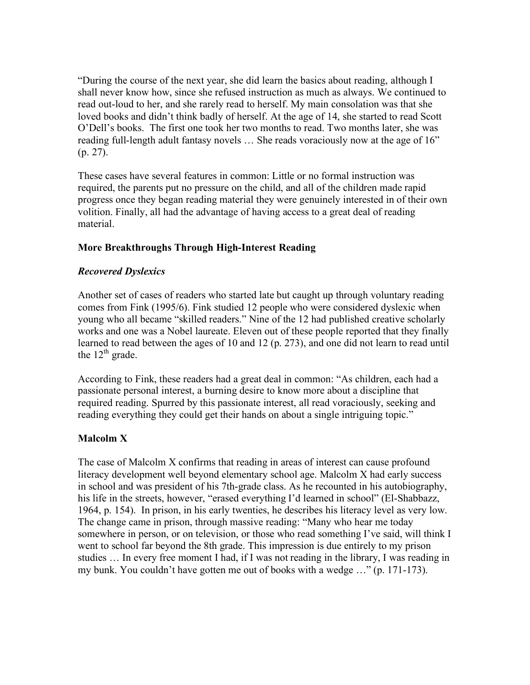"During the course of the next year, she did learn the basics about reading, although I shall never know how, since she refused instruction as much as always. We continued to read out-loud to her, and she rarely read to herself. My main consolation was that she loved books and didn't think badly of herself. At the age of 14, she started to read Scott O'Dell's books. The first one took her two months to read. Two months later, she was reading full-length adult fantasy novels … She reads voraciously now at the age of 16" (p. 27).

These cases have several features in common: Little or no formal instruction was required, the parents put no pressure on the child, and all of the children made rapid progress once they began reading material they were genuinely interested in of their own volition. Finally, all had the advantage of having access to a great deal of reading material.

## **More Breakthroughs Through High-Interest Reading**

## *Recovered Dyslexics*

Another set of cases of readers who started late but caught up through voluntary reading comes from Fink (1995/6). Fink studied 12 people who were considered dyslexic when young who all became "skilled readers." Nine of the 12 had published creative scholarly works and one was a Nobel laureate. Eleven out of these people reported that they finally learned to read between the ages of 10 and 12 (p. 273), and one did not learn to read until the  $12^{th}$  grade.

According to Fink, these readers had a great deal in common: "As children, each had a passionate personal interest, a burning desire to know more about a discipline that required reading. Spurred by this passionate interest, all read voraciously, seeking and reading everything they could get their hands on about a single intriguing topic."

## **Malcolm X**

The case of Malcolm X confirms that reading in areas of interest can cause profound literacy development well beyond elementary school age. Malcolm X had early success in school and was president of his 7th-grade class. As he recounted in his autobiography, his life in the streets, however, "erased everything I'd learned in school" (El-Shabbazz, 1964, p. 154). In prison, in his early twenties, he describes his literacy level as very low. The change came in prison, through massive reading: "Many who hear me today somewhere in person, or on television, or those who read something I've said, will think I went to school far beyond the 8th grade. This impression is due entirely to my prison studies … In every free moment I had, if I was not reading in the library, I was reading in my bunk. You couldn't have gotten me out of books with a wedge …" (p. 171-173).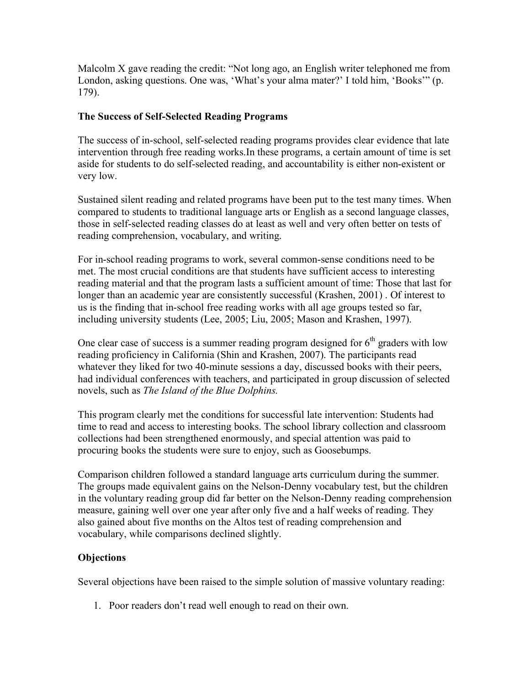Malcolm X gave reading the credit: "Not long ago, an English writer telephoned me from London, asking questions. One was, 'What's your alma mater?' I told him, 'Books'" (p. 179).

#### **The Success of Self-Selected Reading Programs**

The success of in-school, self-selected reading programs provides clear evidence that late intervention through free reading works.In these programs, a certain amount of time is set aside for students to do self-selected reading, and accountability is either non-existent or very low.

Sustained silent reading and related programs have been put to the test many times. When compared to students to traditional language arts or English as a second language classes, those in self-selected reading classes do at least as well and very often better on tests of reading comprehension, vocabulary, and writing.

For in-school reading programs to work, several common-sense conditions need to be met. The most crucial conditions are that students have sufficient access to interesting reading material and that the program lasts a sufficient amount of time: Those that last for longer than an academic year are consistently successful (Krashen, 2001) . Of interest to us is the finding that in-school free reading works with all age groups tested so far, including university students (Lee, 2005; Liu, 2005; Mason and Krashen, 1997).

One clear case of success is a summer reading program designed for  $6<sup>th</sup>$  graders with low reading proficiency in California (Shin and Krashen, 2007). The participants read whatever they liked for two 40-minute sessions a day, discussed books with their peers, had individual conferences with teachers, and participated in group discussion of selected novels, such as *The Island of the Blue Dolphins.*

This program clearly met the conditions for successful late intervention: Students had time to read and access to interesting books. The school library collection and classroom collections had been strengthened enormously, and special attention was paid to procuring books the students were sure to enjoy, such as Goosebumps.

Comparison children followed a standard language arts curriculum during the summer. The groups made equivalent gains on the Nelson-Denny vocabulary test, but the children in the voluntary reading group did far better on the Nelson-Denny reading comprehension measure, gaining well over one year after only five and a half weeks of reading. They also gained about five months on the Altos test of reading comprehension and vocabulary, while comparisons declined slightly.

## **Objections**

Several objections have been raised to the simple solution of massive voluntary reading:

1. Poor readers don't read well enough to read on their own.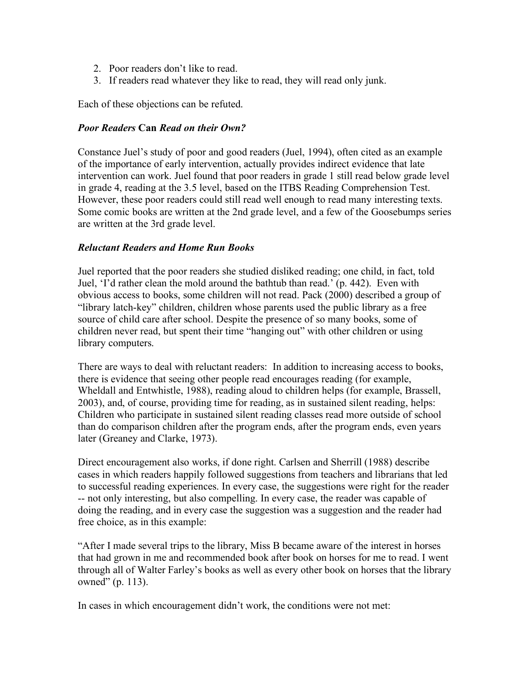- 2. Poor readers don't like to read.
- 3. If readers read whatever they like to read, they will read only junk.

Each of these objections can be refuted.

#### *Poor Readers* **Can** *Read on their Own?*

Constance Juel's study of poor and good readers (Juel, 1994), often cited as an example of the importance of early intervention, actually provides indirect evidence that late intervention can work. Juel found that poor readers in grade 1 still read below grade level in grade 4, reading at the 3.5 level, based on the ITBS Reading Comprehension Test. However, these poor readers could still read well enough to read many interesting texts. Some comic books are written at the 2nd grade level, and a few of the Goosebumps series are written at the 3rd grade level.

#### *Reluctant Readers and Home Run Books*

Juel reported that the poor readers she studied disliked reading; one child, in fact, told Juel, 'I'd rather clean the mold around the bathtub than read.' (p. 442). Even with obvious access to books, some children will not read. Pack (2000) described a group of "library latch-key" children, children whose parents used the public library as a free source of child care after school. Despite the presence of so many books, some of children never read, but spent their time "hanging out" with other children or using library computers.

There are ways to deal with reluctant readers: In addition to increasing access to books, there is evidence that seeing other people read encourages reading (for example, Wheldall and Entwhistle, 1988), reading aloud to children helps (for example, Brassell, 2003), and, of course, providing time for reading, as in sustained silent reading, helps: Children who participate in sustained silent reading classes read more outside of school than do comparison children after the program ends, after the program ends, even years later (Greaney and Clarke, 1973).

Direct encouragement also works, if done right. Carlsen and Sherrill (1988) describe cases in which readers happily followed suggestions from teachers and librarians that led to successful reading experiences. In every case, the suggestions were right for the reader -- not only interesting, but also compelling. In every case, the reader was capable of doing the reading, and in every case the suggestion was a suggestion and the reader had free choice, as in this example:

"After I made several trips to the library, Miss B became aware of the interest in horses that had grown in me and recommended book after book on horses for me to read. I went through all of Walter Farley's books as well as every other book on horses that the library owned" (p. 113).

In cases in which encouragement didn't work, the conditions were not met: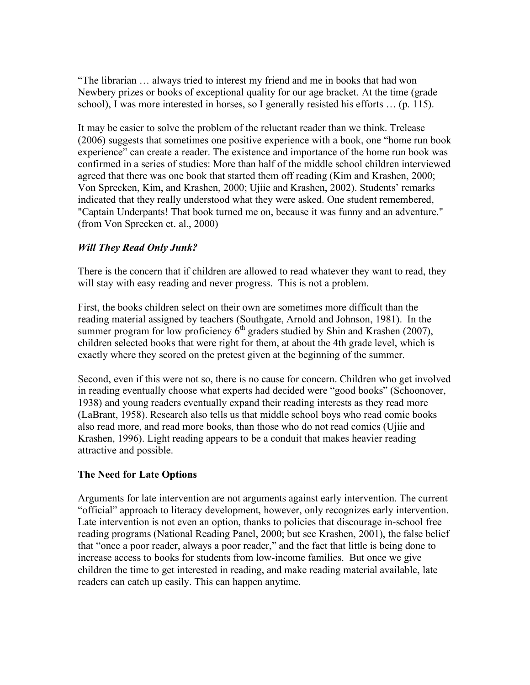"The librarian … always tried to interest my friend and me in books that had won Newbery prizes or books of exceptional quality for our age bracket. At the time (grade school), I was more interested in horses, so I generally resisted his efforts … (p. 115).

It may be easier to solve the problem of the reluctant reader than we think. Trelease (2006) suggests that sometimes one positive experience with a book, one "home run book experience" can create a reader. The existence and importance of the home run book was confirmed in a series of studies: More than half of the middle school children interviewed agreed that there was one book that started them off reading (Kim and Krashen, 2000; Von Sprecken, Kim, and Krashen, 2000; Ujiie and Krashen, 2002). Students' remarks indicated that they really understood what they were asked. One student remembered, "Captain Underpants! That book turned me on, because it was funny and an adventure." (from Von Sprecken et. al., 2000)

## *Will They Read Only Junk?*

There is the concern that if children are allowed to read whatever they want to read, they will stay with easy reading and never progress. This is not a problem.

First, the books children select on their own are sometimes more difficult than the reading material assigned by teachers (Southgate, Arnold and Johnson, 1981). In the summer program for low proficiency  $6<sup>th</sup>$  graders studied by Shin and Krashen (2007), children selected books that were right for them, at about the 4th grade level, which is exactly where they scored on the pretest given at the beginning of the summer.

Second, even if this were not so, there is no cause for concern. Children who get involved in reading eventually choose what experts had decided were "good books" (Schoonover, 1938) and young readers eventually expand their reading interests as they read more (LaBrant, 1958). Research also tells us that middle school boys who read comic books also read more, and read more books, than those who do not read comics (Ujiie and Krashen, 1996). Light reading appears to be a conduit that makes heavier reading attractive and possible.

## **The Need for Late Options**

Arguments for late intervention are not arguments against early intervention. The current "official" approach to literacy development, however, only recognizes early intervention. Late intervention is not even an option, thanks to policies that discourage in-school free reading programs (National Reading Panel, 2000; but see Krashen, 2001), the false belief that "once a poor reader, always a poor reader," and the fact that little is being done to increase access to books for students from low-income families. But once we give children the time to get interested in reading, and make reading material available, late readers can catch up easily. This can happen anytime.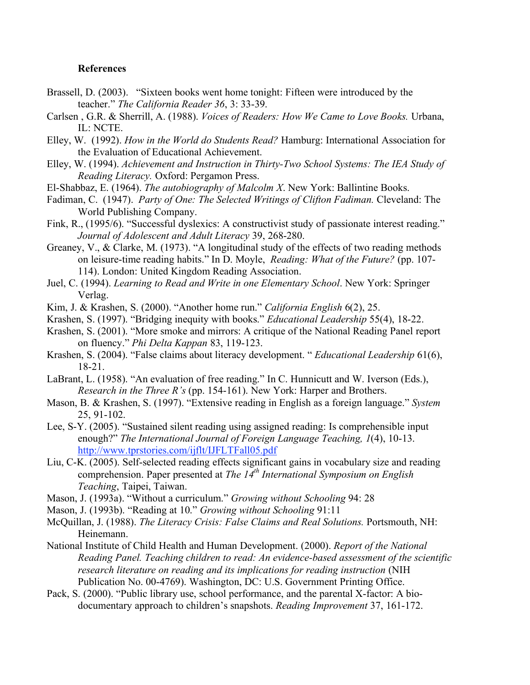#### **References**

- Brassell, D. (2003). "Sixteen books went home tonight: Fifteen were introduced by the teacher." *The California Reader 36*, 3: 33-39.
- Carlsen , G.R. & Sherrill, A. (1988). *Voices of Readers: How We Came to Love Books.* Urbana, IL: NCTE.
- Elley, W. (1992). *How in the World do Students Read?* Hamburg: International Association for the Evaluation of Educational Achievement.
- Elley, W. (1994). *Achievement and Instruction in Thirty-Two School Systems: The IEA Study of Reading Literacy.* Oxford: Pergamon Press.
- El-Shabbaz, E. (1964). *The autobiography of Malcolm X*. New York: Ballintine Books.
- Fadiman, C. (1947). *Party of One: The Selected Writings of Clifton Fadiman.* Cleveland: The World Publishing Company.
- Fink, R., (1995/6). "Successful dyslexics: A constructivist study of passionate interest reading." *Journal of Adolescent and Adult Literacy* 39, 268-280.
- Greaney, V., & Clarke, M. (1973). "A longitudinal study of the effects of two reading methods on leisure-time reading habits." In D. Moyle, *Reading: What of the Future?* (pp. 107- 114). London: United Kingdom Reading Association.
- Juel, C. (1994). *Learning to Read and Write in one Elementary School*. New York: Springer Verlag.
- Kim, J. & Krashen, S. (2000). "Another home run." *California English* 6(2), 25.
- Krashen, S. (1997). "Bridging inequity with books." *Educational Leadership* 55(4), 18-22.
- Krashen, S. (2001). "More smoke and mirrors: A critique of the National Reading Panel report on fluency." *Phi Delta Kappan* 83, 119-123.
- Krashen, S. (2004). "False claims about literacy development. " *Educational Leadership* 61(6), 18-21.
- LaBrant, L. (1958). "An evaluation of free reading." In C. Hunnicutt and W. Iverson (Eds.), *Research in the Three R's* (pp. 154-161). New York: Harper and Brothers.
- Mason, B. & Krashen, S. (1997). "Extensive reading in English as a foreign language." *System* 25, 91-102.
- Lee, S-Y. (2005). "Sustained silent reading using assigned reading: Is comprehensible input enough?" *The International Journal of Foreign Language Teaching, 1*(4), 10-13. http://www.tprstories.com/ijflt/IJFLTFall05.pdf
- Liu, C-K. (2005). Self-selected reading effects significant gains in vocabulary size and reading comprehension. Paper presented at *The 14th International Symposium on English Teaching*, Taipei, Taiwan.
- Mason, J. (1993a). "Without a curriculum." *Growing without Schooling* 94: 28
- Mason, J. (1993b). "Reading at 10." *Growing without Schooling* 91:11
- McQuillan, J. (1988). *The Literacy Crisis: False Claims and Real Solutions.* Portsmouth, NH: Heinemann.
- National Institute of Child Health and Human Development. (2000). *Report of the National Reading Panel. Teaching children to read: An evidence-based assessment of the scientific research literature on reading and its implications for reading instruction* (NIH Publication No. 00-4769). Washington, DC: U.S. Government Printing Office.
- Pack, S. (2000). "Public library use, school performance, and the parental X-factor: A biodocumentary approach to children's snapshots. *Reading Improvement* 37, 161-172.